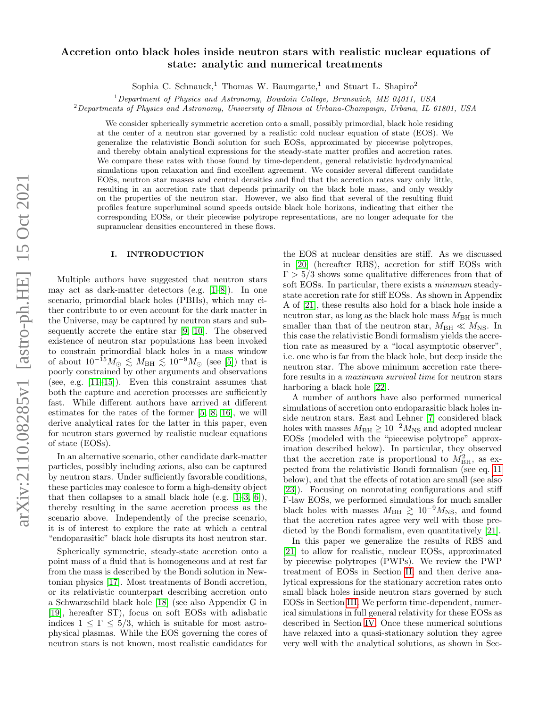# Accretion onto black holes inside neutron stars with realistic nuclear equations of state: analytic and numerical treatments

Sophia C. Schnauck,<sup>1</sup> Thomas W. Baumgarte,<sup>1</sup> and Stuart L. Shapiro<sup>2</sup>

 $1$  Department of Physics and Astronomy, Bowdoin College, Brunswick, ME 04011, USA

 $2$ Departments of Physics and Astronomy, University of Illinois at Urbana-Champaign, Urbana, IL 61801, USA

We consider spherically symmetric accretion onto a small, possibly primordial, black hole residing at the center of a neutron star governed by a realistic cold nuclear equation of state (EOS). We generalize the relativistic Bondi solution for such EOSs, approximated by piecewise polytropes, and thereby obtain analytical expressions for the steady-state matter profiles and accretion rates. We compare these rates with those found by time-dependent, general relativistic hydrodynamical simulations upon relaxation and find excellent agreement. We consider several different candidate EOSs, neutron star masses and central densities and find that the accretion rates vary only little, resulting in an accretion rate that depends primarily on the black hole mass, and only weakly on the properties of the neutron star. However, we also find that several of the resulting fluid profiles feature superluminal sound speeds outside black hole horizons, indicating that either the corresponding EOSs, or their piecewise polytrope representations, are no longer adequate for the supranuclear densities encountered in these flows.

#### I. INTRODUCTION

Multiple authors have suggested that neutron stars may act as dark-matter detectors (e.g. [\[1–](#page-7-0)[8\]](#page-7-1)). In one scenario, primordial black holes (PBHs), which may either contribute to or even account for the dark matter in the Universe, may be captured by neutron stars and subsequently accrete the entire star [\[9,](#page-7-2) [10\]](#page-7-3). The observed existence of neutron star populations has been invoked to constrain primordial black holes in a mass window of about  $10^{-15} M_{\odot} \lesssim M_{\rm BH} \lesssim 10^{-9} M_{\odot}$  (see [\[5\]](#page-7-4)) that is poorly constrained by other arguments and observations (see, e.g.  $[11-15]$ ). Even this constraint assumes that both the capture and accretion processes are sufficiently fast. While different authors have arrived at different estimates for the rates of the former [\[5,](#page-7-4) [8,](#page-7-1) [16\]](#page-7-7), we will derive analytical rates for the latter in this paper, even for neutron stars governed by realistic nuclear equations of state (EOSs).

In an alternative scenario, other candidate dark-matter particles, possibly including axions, also can be captured by neutron stars. Under sufficiently favorable conditions, these particles may coalesce to form a high-density object that then collapses to a small black hole (e.g.  $[1-3, 6]$  $[1-3, 6]$  $[1-3, 6]$ ), thereby resulting in the same accretion process as the scenario above. Independently of the precise scenario, it is of interest to explore the rate at which a central "endoparasitic" black hole disrupts its host neutron star.

Spherically symmetric, steady-state accretion onto a point mass of a fluid that is homogeneous and at rest far from the mass is described by the Bondi solution in Newtonian physics [\[17\]](#page-7-10). Most treatments of Bondi accretion, or its relativistic counterpart describing accretion onto a Schwarzschild black hole [\[18\]](#page-7-11) (see also Appendix G in [\[19\]](#page-7-12), hereafter ST), focus on soft EOSs with adiabatic indices  $1 \leq \Gamma \leq 5/3$ , which is suitable for most astrophysical plasmas. While the EOS governing the cores of neutron stars is not known, most realistic candidates for

the EOS at nuclear densities are stiff. As we discussed in [\[20\]](#page-7-13) (hereafter RBS), accretion for stiff EOSs with  $\Gamma > 5/3$  shows some qualitative differences from that of soft EOSs. In particular, there exists a minimum steadystate accretion rate for stiff EOSs. As shown in Appendix A of [\[21\]](#page-7-14), these results also hold for a black hole inside a neutron star, as long as the black hole mass  $M_{\rm BH}$  is much smaller than that of the neutron star,  $M_{\text{BH}} \ll M_{\text{NS}}$ . In this case the relativistic Bondi formalism yields the accretion rate as measured by a "local asymptotic observer", i.e. one who is far from the black hole, but deep inside the neutron star. The above minimum accretion rate therefore results in a maximum survival time for neutron stars harboring a black hole [\[22\]](#page-7-15).

A number of authors have also performed numerical simulations of accretion onto endoparasitic black holes inside neutron stars. East and Lehner [\[7\]](#page-7-16) considered black holes with masses  $M_{\text{BH}} \geq 10^{-2} M_{\text{NS}}$  and adopted nuclear EOSs (modeled with the "piecewise polytrope" approximation described below). In particular, they observed that the accretion rate is proportional to  $M_{\rm BH}^2$ , as expected from the relativistic Bondi formalism (see eq. [11](#page-2-0) below), and that the effects of rotation are small (see also [\[23\]](#page-7-17)). Focusing on nonrotating configurations and stiff Γ-law EOSs, we performed simulations for much smaller black holes with masses  $M_{\text{BH}} \gtrsim 10^{-9} M_{\text{NS}}$ , and found that the accretion rates agree very well with those predicted by the Bondi formalism, even quantitatively [\[21\]](#page-7-14).

In this paper we generalize the results of RBS and [\[21\]](#page-7-14) to allow for realistic, nuclear EOSs, approximated by piecewise polytropes (PWPs). We review the PWP treatment of EOSs in Section [II,](#page-1-0) and then derive analytical expressions for the stationary accretion rates onto small black holes inside neutron stars governed by such EOSs in Section [III.](#page-1-1) We perform time-dependent, numerical simulations in full general relativity for these EOSs as described in Section [IV.](#page-3-0) Once these numerical solutions have relaxed into a quasi-stationary solution they agree very well with the analytical solutions, as shown in Sec-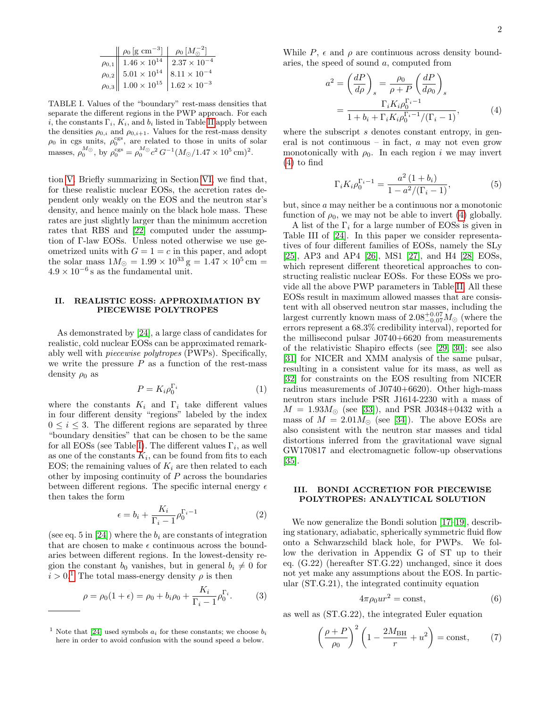| $\left\ \rho_0\left[\text{g cm}^{-3}\right]\right\  \left\ \rho_0\left[M_\odot^{-2}\right]\right\ $ |  |
|-----------------------------------------------------------------------------------------------------|--|
| $\rho_{0,1}$ 1.46 × 10 <sup>14</sup> 2.37 × 10 <sup>-4</sup>                                        |  |
| $\rho_{0,2}$ 5.01 × 10 <sup>14</sup> 8.11 × 10 <sup>-4</sup>                                        |  |
| $\rho_{0,3}$ 1.00 × 10 <sup>15</sup> 1.62 × 10 <sup>-3</sup>                                        |  |

<span id="page-1-2"></span>TABLE I. Values of the "boundary" rest-mass densities that separate the different regions in the PWP approach. For each i, the constants  $\Gamma_i$ ,  $K_i$ , and  $b_i$  listed in Table [II](#page-2-1) apply between the densities  $\rho_{0,i}$  and  $\rho_{0,i+1}$ . Values for the rest-mass density  $\rho_0$  in cgs units,  $\rho_0^{\text{cgs}}$ , are related to those in units of solar masses,  $\rho_0^{M_{\odot}}$ , by  $\rho_0^{\text{cgs}} = \rho_0^{M_{\odot}} c^2 G^{-1} (M_{\odot}/1.47 \times 10^5 \text{ cm})^2$ .

tion [V.](#page-4-0) Briefly summarizing in Section [VI,](#page-6-0) we find that, for these realistic nuclear EOSs, the accretion rates dependent only weakly on the EOS and the neutron star's density, and hence mainly on the black hole mass. These rates are just slightly larger than the minimum accretion rates that RBS and [\[22\]](#page-7-15) computed under the assumption of Γ-law EOSs. Unless noted otherwise we use geometrized units with  $G = 1 = c$  in this paper, and adopt the solar mass  $1M_{\odot} = 1.99 \times 10^{33}$  g =  $1.47 \times 10^{5}$  cm =  $4.9 \times 10^{-6}$  s as the fundamental unit.

# <span id="page-1-0"></span>II. REALISTIC EOSS: APPROXIMATION BY PIECEWISE POLYTROPES

As demonstrated by [\[24\]](#page-7-18), a large class of candidates for realistic, cold nuclear EOSs can be approximated remarkably well with piecewise polytropes (PWPs). Specifically, we write the pressure  $P$  as a function of the rest-mass density  $\rho_0$  as

<span id="page-1-8"></span>
$$
P = K_i \rho_0^{\Gamma_i} \tag{1}
$$

where the constants  $K_i$  and  $\Gamma_i$  take different values in four different density "regions" labeled by the index  $0 \leq i \leq 3$ . The different regions are separated by three "boundary densities" that can be chosen to be the same for all EOSs (see Table [I\)](#page-1-2). The different values  $\Gamma_i$ , as well as one of the constants  $K_i$ , can be found from fits to each EOS; the remaining values of  $K_i$  are then related to each other by imposing continuity of  $P$  across the boundaries between different regions. The specific internal energy  $\epsilon$ then takes the form

<span id="page-1-9"></span>
$$
\epsilon = b_i + \frac{K_i}{\Gamma_i - 1} \rho_0^{\Gamma_i - 1} \tag{2}
$$

(see eq. 5 in [\[24\]](#page-7-18)) where the  $b_i$  are constants of integration that are chosen to make  $\epsilon$  continuous across the boundaries between different regions. In the lowest-density region the constant  $b_0$  vanishes, but in general  $b_i \neq 0$  for  $i > 0$ <sup>[1](#page-1-3)</sup> The total mass-energy density  $\rho$  is then

$$
\rho = \rho_0 (1 + \epsilon) = \rho_0 + b_i \rho_0 + \frac{K_i}{\Gamma_i - 1} \rho_0^{\Gamma_i}.
$$
 (3)

While  $P$ ,  $\epsilon$  and  $\rho$  are continuous across density boundaries, the speed of sound a, computed from

<span id="page-1-4"></span>
$$
a^{2} = \left(\frac{dP}{d\rho}\right)_{s} = \frac{\rho_{0}}{\rho + P} \left(\frac{dP}{d\rho_{0}}\right)_{s}
$$

$$
= \frac{\Gamma_{i}K_{i}\rho_{0}^{\Gamma_{i}-1}}{1 + b_{i} + \Gamma_{i}K_{i}\rho_{0}^{\Gamma_{i}-1}/(\Gamma_{i}-1)},
$$
(4)

where the subscript s denotes constant entropy, in general is not continuous – in fact,  $a$  may not even grow monotonically with  $\rho_0$ . In each region i we may invert [\(4\)](#page-1-4) to find

<span id="page-1-6"></span>
$$
\Gamma_i K_i \rho_0^{\Gamma_i - 1} = \frac{a^2 (1 + b_i)}{1 - a^2 / (\Gamma_i - 1)},
$$
\n(5)

but, since a may neither be a continuous nor a monotonic function of  $\rho_0$ , we may not be able to invert [\(4\)](#page-1-4) globally.

A list of the  $\Gamma_i$  for a large number of EOSs is given in Table III of [\[24\]](#page-7-18). In this paper we consider representatives of four different families of EOSs, namely the SLy [\[25\]](#page-7-19), AP3 and AP4 [\[26\]](#page-7-20), MS1 [\[27\]](#page-8-0), and H4 [\[28\]](#page-8-1) EOSs, which represent different theoretical approaches to constructing realistic nuclear EOSs. For these EOSs we provide all the above PWP parameters in Table [II.](#page-2-1) All these EOSs result in maximum allowed masses that are consistent with all observed neutron star masses, including the largest currently known mass of  $2.08^{+0.07}_{-0.07} M_{\odot}$  (where the errors represent a 68.3% credibility interval), reported for the millisecond pulsar J0740+6620 from measurements of the relativistic Shapiro effects (see [\[29,](#page-8-2) [30\]](#page-8-3); see also [\[31\]](#page-8-4) for NICER and XMM analysis of the same pulsar, resulting in a consistent value for its mass, as well as [\[32\]](#page-8-5) for constraints on the EOS resulting from NICER radius measurements of J0740+6620). Other high-mass neutron stars include PSR J1614-2230 with a mass of  $M = 1.93 M_{\odot}$  (see [\[33\]](#page-8-6)), and PSR J0348+0432 with a mass of  $M = 2.01 M_{\odot}$  (see [\[34\]](#page-8-7)). The above EOSs are also consistent with the neutron star masses and tidal distortions inferred from the gravitational wave signal GW170817 and electromagnetic follow-up observations [\[35\]](#page-8-8).

### <span id="page-1-1"></span>III. BONDI ACCRETION FOR PIECEWISE POLYTROPES: ANALYTICAL SOLUTION

We now generalize the Bondi solution [\[17–](#page-7-10)[19\]](#page-7-12), describing stationary, adiabatic, spherically symmetric fluid flow onto a Schwarzschild black hole, for PWPs. We follow the derivation in Appendix G of ST up to their eq. (G.22) (hereafter ST.G.22) unchanged, since it does not yet make any assumptions about the EOS. In particular (ST.G.21), the integrated continuity equation

<span id="page-1-7"></span>
$$
4\pi \rho_0 u r^2 = \text{const},\tag{6}
$$

as well as (ST.G.22), the integrated Euler equation

<span id="page-1-5"></span>
$$
\left(\frac{\rho+P}{\rho_0}\right)^2 \left(1 - \frac{2M_{\rm BH}}{r} + u^2\right) = \text{const},\qquad(7)
$$

<span id="page-1-3"></span><sup>&</sup>lt;sup>1</sup> Note that [\[24\]](#page-7-18) used symbols  $a_i$  for these constants; we choose  $b_i$ here in order to avoid confusion with the sound speed a below.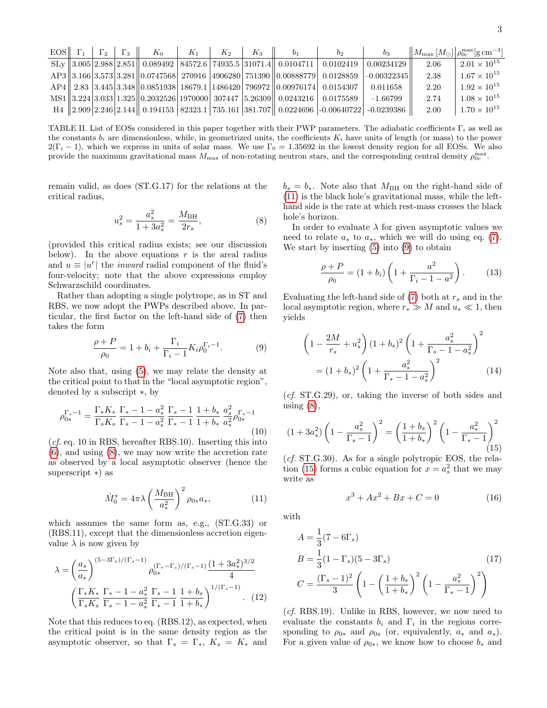| EOS $\Gamma_1$ $\Gamma_2$ | $\Gamma$ <sup>3</sup> | $K_0$ | $K_1$ | $K_2$ | $K_3$ | b <sub>1</sub>                                                                        | b <sub>2</sub> | b <sub>3</sub>                                                                         |      | $\left\ M_{\rm max}\left[M_{\odot}\right]\right \rho_{0c}^{\rm max}[\rm{g\,cm^{-3}}]$ |
|---------------------------|-----------------------|-------|-------|-------|-------|---------------------------------------------------------------------------------------|----------------|----------------------------------------------------------------------------------------|------|---------------------------------------------------------------------------------------|
|                           |                       |       |       |       |       | $SL_y$   3.005   2.988   2.851    0.089492   84572.6   74935.5   31071.4    0.0104711 | 0.0102419      | $\mid 0.00234129 \mid$                                                                 | 2.06 | $2.01 \times 10^{15}$                                                                 |
|                           |                       |       |       |       |       | AP3 3.166 3.573 3.281 0.0747568 270916 4906280 751390 0.00888779 0.0128859            |                | $[-0.00322345]$                                                                        | 2.38 | $1.67 \times 10^{15}$                                                                 |
|                           |                       |       |       |       |       | $\ AP4\ $ 2.83 3.445 3.348 0.0851938 18679.1 1486420 796972 0.00976174 0.0154307      |                | 0.011658                                                                               | 2.20 | $1.92 \times 10^{15}$                                                                 |
|                           |                       |       |       |       |       | MS1 3.224 3.033 1.325 0.2032526 1970000 307447 5.26309 0.0243216 0.0175589            |                | $-1.66799$                                                                             | 2.74 | $1.08 \times 10^{15}$                                                                 |
|                           |                       |       |       |       |       |                                                                                       |                | H4 2.909 2.246 2.144 0.194153 82323.1 735.161 381.707 0.0224696 -0.00640722 -0.0239386 | 2.00 | $1.70 \times 10^{15}$                                                                 |

<span id="page-2-1"></span>TABLE II. List of EOSs considered in this paper together with their PWP parameters. The adiabatic coefficients  $\Gamma_i$  as well as the constants  $b_i$  are dimensionless, while, in geometrized units, the coefficients  $K_i$  have units of length (or mass) to the power  $2(\Gamma_i - 1)$ , which we express in units of solar mass. We use  $\Gamma_0 = 1.35692$  in the lowest density region for all EOSs. We also provide the maximum gravitational mass  $M_{\text{max}}$  of non-rotating neutron stars, and the corresponding central density  $\rho_{0c}^{\text{max}}$ .

remain valid, as does (ST.G.17) for the relations at the critical radius,

<span id="page-2-2"></span>
$$
u_s^2 = \frac{a_s^2}{1 + 3a_s^2} = \frac{M_{\text{BH}}}{2r_s},\tag{8}
$$

(provided this critical radius exists; see our discussion below). In the above equations  $r$  is the areal radius and  $u \equiv |u^r|$  the *inward* radial component of the fluid's four-velocity; note that the above expressions employ Schwarzschild coordinates.

Rather than adopting a single polytrope, as in ST and RBS, we now adopt the PWPs described above. In particular, the first factor on the left-hand side of [\(7\)](#page-1-5) then takes the form

<span id="page-2-3"></span>
$$
\frac{\rho + P}{\rho_0} = 1 + b_i + \frac{\Gamma_i}{\Gamma_i - 1} K_i \rho_0^{\Gamma_i - 1}.
$$
 (9)

Note also that, using [\(5\)](#page-1-6), we may relate the density at the critical point to that in the "local asymptotic region", denoted by a subscript ∗, by

$$
\rho_{0s}^{\Gamma_s - 1} = \frac{\Gamma_* K_*}{\Gamma_s K_s} \frac{\Gamma_* - 1 - a_*^2}{\Gamma_s - 1 - a_s^2} \frac{\Gamma_s - 1}{\Gamma_* - 1} \frac{1 + b_s}{1 + b_*} \frac{a_s^2}{a_*^2} \rho_{0*}^{\Gamma_* - 1}
$$
\n(10)

(cf. eq. 10 in RBS, hereafter RBS.10). Inserting this into [\(6\)](#page-1-7), and using [\(8\)](#page-2-2), we may now write the accretion rate as observed by a local asymptotic observer (hence the superscript ∗) as

<span id="page-2-0"></span>
$$
\dot{M}_0^* = 4\pi\lambda \left(\frac{M_{\rm BH}}{a_*^2}\right)^2 \rho_{0*} a_*,\tag{11}
$$

which assumes the same form as, e.g., (ST.G.33) or (RBS.11), except that the dimensionless accretion eigenvalue  $\lambda$  is now given by

$$
\lambda = \left(\frac{a_s}{a_*}\right)^{(5-3\Gamma_s)/(\Gamma_s-1)} \rho_{0*}^{(\Gamma_*-\Gamma_s)/(\Gamma_s-1)} \frac{(1+3a_*^2)^{3/2}}{4}
$$

$$
\left(\frac{\Gamma_* K_*}{\Gamma_s K_s} \frac{\Gamma_* - 1 - a_*^2}{\Gamma_s - 1 - a_s^2} \frac{\Gamma_s - 1}{\Gamma_* - 1} \frac{1+b_s}{1+b_*}\right)^{1/(\Gamma_s-1)}.\tag{12}
$$

Note that this reduces to eq. (RBS.12), as expected, when the critical point is in the same density region as the asymptotic observer, so that  $\Gamma_s = \Gamma_*, K_s = K_*$  and  $b_s = b_*$ . Note also that  $M_{\rm BH}$  on the right-hand side of [\(11\)](#page-2-0) is the black hole's gravitational mass, while the lefthand side is the rate at which rest-mass crosses the black hole's horizon.

In order to evaluate  $\lambda$  for given asymptotic values we need to relate  $a_s$  to  $a_*$ , which we will do using eq. [\(7\)](#page-1-5). We start by inserting [\(5\)](#page-1-6) into [\(9\)](#page-2-3) to obtain

$$
\frac{\rho + P}{\rho_0} = (1 + b_i) \left( 1 + \frac{a^2}{\Gamma_i - 1 - a^2} \right). \tag{13}
$$

Evaluating the left-hand side of  $(7)$  both at  $r_s$  and in the local asymptotic region, where  $r_* \gg M$  and  $u_* \ll 1$ , then yields

$$
\left(1 - \frac{2M}{r_s} + u_s^2\right)(1 + b_s)^2 \left(1 + \frac{a_s^2}{\Gamma_s - 1 - a_s^2}\right)^2
$$

$$
= (1 + b_*)^2 \left(1 + \frac{a_*^2}{\Gamma_s - 1 - a_s^2}\right)^2 \tag{14}
$$

(*cf.* ST.G.29), or, taking the inverse of both sides and using  $(8)$ ,

<span id="page-2-4"></span>
$$
(1+3a_s^2)\left(1-\frac{a_s^2}{\Gamma_s-1}\right)^2 = \left(\frac{1+b_s}{1+b_*}\right)^2 \left(1-\frac{a_*^2}{\Gamma_*-1}\right)^2
$$
\n
$$
(15)
$$

 $(cf. ST.G.30)$ . As for a single polytropic EOS, the rela-tion [\(15\)](#page-2-4) forms a cubic equation for  $x = a_s^2$  that we may write as

$$
x^3 + Ax^2 + Bx + C = 0 \tag{16}
$$

with

$$
A = \frac{1}{3}(7 - 6\Gamma_s)
$$
  
\n
$$
B = \frac{1}{3}(1 - \Gamma_s)(5 - 3\Gamma_s)
$$
  
\n
$$
C = \frac{(\Gamma_s - 1)^2}{3} \left(1 - \left(\frac{1 + b_s}{1 + b_*}\right)^2 \left(1 - \frac{a_*^2}{\Gamma_* - 1}\right)^2\right)
$$
\n(17)

<span id="page-2-5"></span>(cf. RBS.19). Unlike in RBS, however, we now need to evaluate the constants  $b_i$  and  $\Gamma_i$  in the regions corresponding to  $\rho_{0*}$  and  $\rho_{0s}$  (or, equivalently,  $a_*$  and  $a_s$ ). For a given value of  $\rho_{0*}$ , we know how to choose  $b_*$  and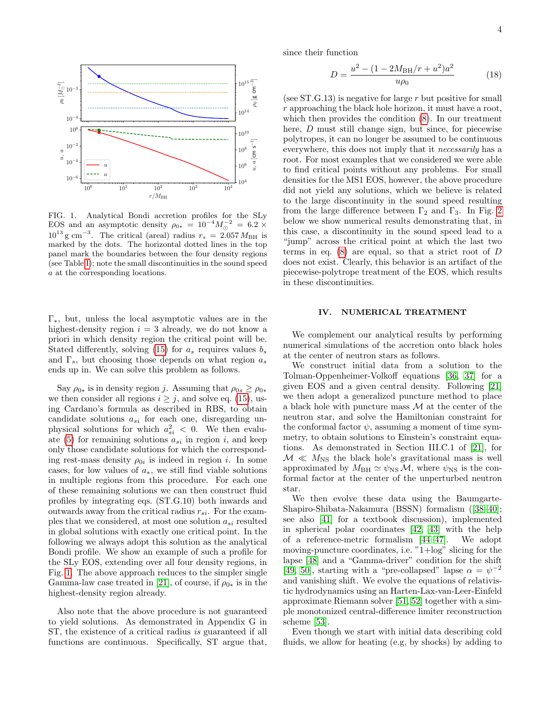

<span id="page-3-1"></span>FIG. 1. Analytical Bondi accretion profiles for the SLy EOS and an asymptotic density  $\rho_{0*} = 10^{-4} M_{\odot}^{-2} = 6.2 \times$  $10^{13}$  g cm<sup>-3</sup>. The critical (areal) radius  $r_s = 2.057 M_{\text{BH}}$  is marked by the dots. The horizontal dotted lines in the top panel mark the boundaries between the four density regions (see Table [I\)](#page-1-2); note the small discontinuities in the sound speed a at the corresponding locations.

Γ∗, but, unless the local asymptotic values are in the highest-density region  $i = 3$  already, we do not know a priori in which density region the critical point will be. Stated differently, solving [\(15\)](#page-2-4) for  $a_s$  requires values  $b_s$ and  $\Gamma_s$ , but choosing those depends on what region  $a_s$ ends up in. We can solve this problem as follows.

Say  $\rho_{0*}$  is in density region j. Assuming that  $\rho_{0s} \geq \rho_{0*}$ we then consider all regions  $i \geq j$ , and solve eq. [\(15\)](#page-2-4), using Cardano's formula as described in RBS, to obtain candidate solutions  $a_{si}$  for each one, disregarding unphysical solutions for which  $a_{si}^2 < 0$ . We then evalu-ate [\(5\)](#page-1-6) for remaining solutions  $a_{si}$  in region i, and keep only those candidate solutions for which the corresponding rest-mass density  $\rho_{0i}$  is indeed in region i. In some cases, for low values of  $a_*,$  we still find viable solutions in multiple regions from this procedure. For each one of these remaining solutions we can then construct fluid profiles by integrating eqs. (ST.G.10) both inwards and outwards away from the critical radius  $r_{si}$ . For the examples that we considered, at most one solution  $a_{si}$  resulted in global solutions with exactly one critical point. In the following we always adopt this solution as the analytical Bondi profile. We show an example of such a profile for the SLy EOS, extending over all four density regions, in Fig. [1.](#page-3-1) The above approach reduces to the simpler single Gamma-law case treated in [\[21\]](#page-7-14), of course, if  $\rho_{0*}$  is in the highest-density region already.

Also note that the above procedure is not guaranteed to yield solutions. As demonstrated in Appendix G in ST, the existence of a critical radius is guaranteed if all functions are continuous. Specifically, ST argue that,

since their function

$$
D = \frac{u^2 - (1 - 2M_{\rm BH}/r + u^2)a^2}{u\rho_0} \tag{18}
$$

(see  $ST.G.13$ ) is negative for large r but positive for small r approaching the black hole horizon, it must have a root, which then provides the condition [\(8\)](#page-2-2). In our treatment here, D must still change sign, but since, for piecewise polytropes, it can no longer be assumed to be continuous everywhere, this does not imply that it necessarily has a root. For most examples that we considered we were able to find critical points without any problems. For small densities for the MS1 EOS, however, the above procedure did not yield any solutions, which we believe is related to the large discontinuity in the sound speed resulting from the large difference between  $\Gamma_2$  and  $\Gamma_3$ . In Fig. [2](#page-4-1) below we show numerical results demonstrating that, in this case, a discontinuity in the sound speed lead to a "jump" across the critical point at which the last two terms in eq.  $(8)$  are equal, so that a strict root of D does not exist. Clearly, this behavior is an artifact of the piecewise-polytrope treatment of the EOS, which results in these discontinuities.

#### <span id="page-3-0"></span>IV. NUMERICAL TREATMENT

We complement our analytical results by performing numerical simulations of the accretion onto black holes at the center of neutron stars as follows.

We construct initial data from a solution to the Tolman-Oppenheimer-Volkoff equations [\[36,](#page-8-9) [37\]](#page-8-10) for a given EOS and a given central density. Following [\[21\]](#page-7-14) we then adopt a generalized puncture method to place a black hole with puncture mass  $M$  at the center of the neutron star, and solve the Hamiltonian constraint for the conformal factor  $\psi$ , assuming a moment of time symmetry, to obtain solutions to Einstein's constraint equations. As demonstrated in Section III.C.1 of [\[21\]](#page-7-14), for  $M \ll M_{\text{NS}}$  the black hole's gravitational mass is well approximated by  $M_{\text{BH}} \simeq \psi_{\text{NS}} \mathcal{M}$ , where  $\psi_{\text{NS}}$  is the conformal factor at the center of the unperturbed neutron star.

We then evolve these data using the Baumgarte-Shapiro-Shibata-Nakamura (BSSN) formalism([\[38–](#page-8-11)[40\]](#page-8-12); see also [\[41\]](#page-8-13) for a textbook discussion), implemented in spherical polar coordinates [\[42,](#page-8-14) [43\]](#page-8-15) with the help of a reference-metric formalism [\[44–](#page-8-16)[47\]](#page-8-17). We adopt moving-puncture coordinates, i.e. "1+log" slicing for the lapse [\[48\]](#page-8-18) and a "Gamma-driver" condition for the shift [\[49,](#page-8-19) [50\]](#page-8-20), starting with a "pre-collapsed" lapse  $\alpha = \psi^{-2}$ and vanishing shift. We evolve the equations of relativistic hydrodynamics using an Harten-Lax-van-Leer-Einfeld approximate Riemann solver [\[51,](#page-8-21) [52\]](#page-9-0) together with a simple monotonized central-difference limiter reconstruction scheme [\[53\]](#page-9-1).

Even though we start with initial data describing cold fluids, we allow for heating (e.g, by shocks) by adding to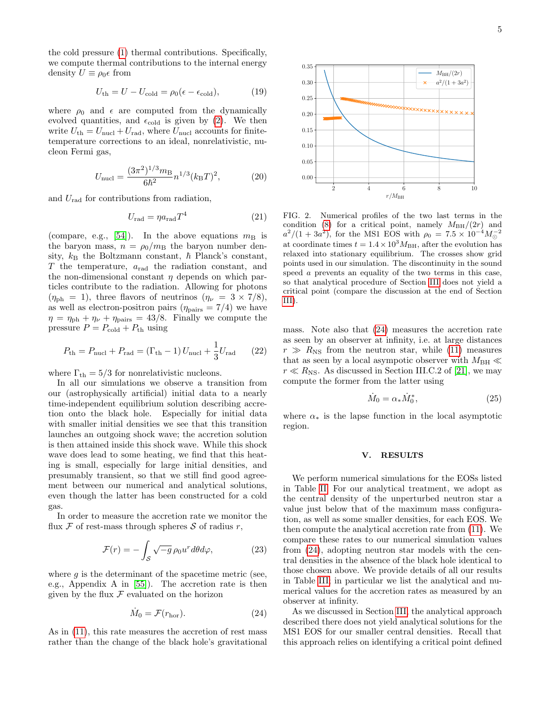the cold pressure [\(1\)](#page-1-8) thermal contributions. Specifically, we compute thermal contributions to the internal energy density  $U \equiv \rho_0 \epsilon$  from

$$
U_{\rm th} = U - U_{\rm cold} = \rho_0 (\epsilon - \epsilon_{\rm cold}),\tag{19}
$$

where  $\rho_0$  and  $\epsilon$  are computed from the dynamically evolved quantities, and  $\epsilon_{\text{cold}}$  is given by [\(2\)](#page-1-9). We then write  $U_{\text{th}} = U_{\text{nucl}} + U_{\text{rad}}$ , where  $U_{\text{nucl}}$  accounts for finitetemperature corrections to an ideal, nonrelativistic, nucleon Fermi gas,

$$
U_{\text{nucl}} = \frac{(3\pi^2)^{1/3} m_{\text{B}}}{6\hbar^2} n^{1/3} (k_{\text{B}}T)^2, \tag{20}
$$

and  $U_{\text{rad}}$  for contributions from radiation,

$$
U_{\rm rad} = \eta a_{\rm rad} T^4 \tag{21}
$$

(compare, e.g., [\[54\]](#page-9-2)). In the above equations  $m<sub>B</sub>$  is the baryon mass,  $n = \rho_0/m_B$  the baryon number density,  $k_B$  the Boltzmann constant,  $\hbar$  Planck's constant,  $T$  the temperature,  $a_{rad}$  the radiation constant, and the non-dimensional constant  $\eta$  depends on which particles contribute to the radiation. Allowing for photons  $(\eta_{\text{ph}} = 1)$ , three flavors of neutrinos  $(\eta_{\nu} = 3 \times 7/8)$ , as well as electron-positron pairs  $(\eta_{\text{pairs}} = 7/4)$  we have  $\eta = \eta_{\text{ph}} + \eta_{\nu} + \eta_{\text{pairs}} = 43/8.$  Finally we compute the pressure  $P = P_{\text{cold}} + P_{\text{th}}$  using

$$
P_{\text{th}} = P_{\text{nucl}} + P_{\text{rad}} = (\Gamma_{\text{th}} - 1) U_{\text{nucl}} + \frac{1}{3} U_{\text{rad}} \qquad (22)
$$

where  $\Gamma_{\text{th}} = 5/3$  for nonrelativistic nucleons.

In all our simulations we observe a transition from our (astrophysically artificial) initial data to a nearly time-independent equilibrium solution describing accretion onto the black hole. Especially for initial data with smaller initial densities we see that this transition launches an outgoing shock wave; the accretion solution is then attained inside this shock wave. While this shock wave does lead to some heating, we find that this heating is small, especially for large initial densities, and presumably transient, so that we still find good agreement between our numerical and analytical solutions, even though the latter has been constructed for a cold gas.

In order to measure the accretion rate we monitor the flux  $\mathcal F$  of rest-mass through spheres  $\mathcal S$  of radius  $r$ ,

$$
\mathcal{F}(r) = -\int_{\mathcal{S}} \sqrt{-g} \,\rho_0 u^r d\theta d\varphi,\tag{23}
$$

where  $g$  is the determinant of the spacetime metric (see, e.g., Appendix A in [\[55\]](#page-9-3)). The accretion rate is then given by the flux  $F$  evaluated on the horizon

<span id="page-4-2"></span>
$$
\dot{M}_0 = \mathcal{F}(r_{\text{hor}}). \tag{24}
$$

As in [\(11\)](#page-2-0), this rate measures the accretion of rest mass rather than the change of the black hole's gravitational



<span id="page-4-1"></span>FIG. 2. Numerical profiles of the two last terms in the condition [\(8\)](#page-2-2) for a critical point, namely  $M_{BH}/(2r)$  and  $a^2/(1+3a^2)$ , for the MS1 EOS with  $\rho_0 = 7.5 \times 10^{-4} M_{\odot}^{-2}$ at coordinate times  $t = 1.4 \times 10^3 M_{\text{BH}}$ , after the evolution has relaxed into stationary equilibrium. The crosses show grid points used in our simulation. The discontinuity in the sound speed a prevents an equality of the two terms in this case, so that analytical procedure of Section [III](#page-1-1) does not yield a critical point (compare the discussion at the end of Section [III\)](#page-1-1).

mass. Note also that [\(24\)](#page-4-2) measures the accretion rate as seen by an observer at infinity, i.e. at large distances  $r \gg R_{\rm NS}$  from the neutron star, while [\(11\)](#page-2-0) measures that as seen by a local asympotic observer with  $M_{\rm BH} \ll$  $r \ll R_{\text{NS}}$ . As discussed in Section III.C.2 of [\[21\]](#page-7-14), we may compute the former from the latter using

<span id="page-4-3"></span>
$$
\dot{M}_0 = \alpha_* \dot{M}_0^*,\tag{25}
$$

where  $\alpha_*$  is the lapse function in the local asymptotic region.

#### <span id="page-4-0"></span>V. RESULTS

We perform numerical simulations for the EOSs listed in Table [II.](#page-2-1) For our analytical treatment, we adopt as the central density of the unperturbed neutron star a value just below that of the maximum mass configuration, as well as some smaller densities, for each EOS. We then compute the analytical accretion rate from [\(11\)](#page-2-0). We compare these rates to our numerical simulation values from [\(24\)](#page-4-2), adopting neutron star models with the central densities in the absence of the black hole identical to those chosen above. We provide details of all our results in Table [III;](#page-5-0) in particular we list the analytical and numerical values for the accretion rates as measured by an observer at infinity.

As we discussed in Section [III,](#page-1-1) the analytical approach described there does not yield analytical solutions for the MS1 EOS for our smaller central densities. Recall that this approach relies on identifying a critical point defined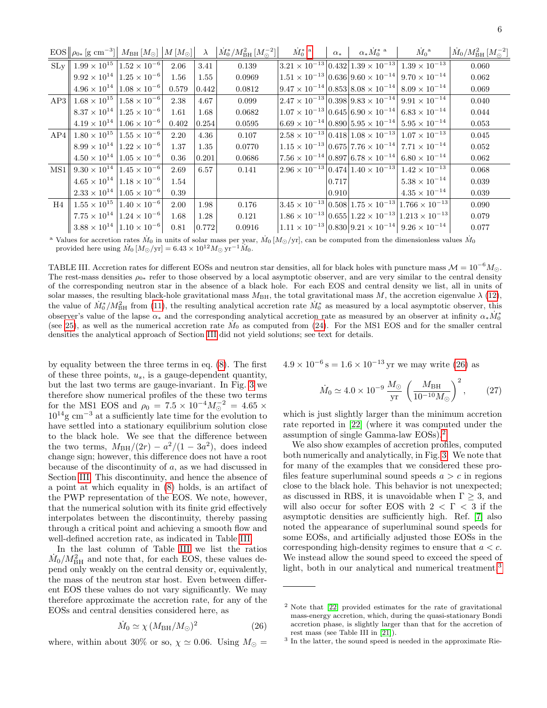| $EOS  \rho_{0*}$ | $\alpha$<br>$\rm cm$ | ⊥⊿⊿ி<br>$M$ BH | $1 M \odot$<br>М |  | $\mathbf{r}$<br>$/M_{\rm BH}^2$<br>$M_0$<br>$1M-1$ | IИс | u. | $\alpha_* Mc$ | IVI | $\mathbf{r}$<br>$/M_{\rm BH}^2$<br>$M_0$<br>1ML<br>$\sim$ |  |
|------------------|----------------------|----------------|------------------|--|----------------------------------------------------|-----|----|---------------|-----|-----------------------------------------------------------|--|
|------------------|----------------------|----------------|------------------|--|----------------------------------------------------|-----|----|---------------|-----|-----------------------------------------------------------|--|

|    | $\cdots$                                                     |                                               |       |       |        |       |                                                                       |                                                                                         |       |
|----|--------------------------------------------------------------|-----------------------------------------------|-------|-------|--------|-------|-----------------------------------------------------------------------|-----------------------------------------------------------------------------------------|-------|
|    | $SL_{\rm V}$   $1.99 \times 10^{15}$   $1.52 \times 10^{-6}$ |                                               | 2.06  | 3.41  | 0.139  |       |                                                                       | $ 3.21 \times 10^{-13} 0.432 1.39 \times 10^{-13} 1.39 \times 10^{-13}$                 | 0.060 |
|    |                                                              | $9.92 \times 10^{14}$ $ 1.25 \times 10^{-6} $ | 1.56  | 1.55  | 0.0969 |       |                                                                       | $1.51 \times 10^{-13}   0.636   9.60 \times 10^{-14}   9.70 \times 10^{-14}$            | 0.062 |
|    |                                                              | $4.96 \times 10^{14}$ $ 1.08 \times 10^{-6} $ | 0.579 | 0.442 | 0.0812 |       |                                                                       | $ 9.47 \times 10^{-14} 0.853 8.08 \times 10^{-14} 8.09 \times 10^{-14}$                 | 0.069 |
|    | AP3 $1.68 \times 10^{15}$ $1.58 \times 10^{-6}$              |                                               | 2.38  | 4.67  | 0.099  |       |                                                                       | $\left 2.47\times10^{-13}\right 0.398\left 9.83\times10^{-14}\right 9.91\times10^{-14}$ | 0.040 |
|    |                                                              | $8.37 \times 10^{14}$ 1.25 $\times 10^{-6}$   | 1.61  | 1.68  | 0.0682 |       | $1.07 \times 10^{-13}   0.645   6.90 \times 10^{-14}  $               | $6.83 \times 10^{-14}$                                                                  | 0.044 |
|    |                                                              | $4.19 \times 10^{14}$ 1.06 $\times 10^{-6}$   | 0.402 | 0.254 | 0.0595 |       | $\left 6.69\times10^{-14}\right 0.890\left 5.95\times10^{-14}\right $ | $5.95 \times 10^{-14}$                                                                  | 0.053 |
|    | AP4 $1.80 \times 10^{15}$ $1.55 \times 10^{-6}$              |                                               | 2.20  | 4.36  | 0.107  |       |                                                                       | $\left 2.58\times10^{-13}\right 0.418\left 1.08\times10^{-13}\right 1.07\times10^{-13}$ | 0.045 |
|    |                                                              | $8.99 \times 10^{14}$ $ 1.22 \times 10^{-6} $ | 1.37  | 1.35  | 0.0770 |       |                                                                       | $1.15 \times 10^{-13}  0.675 7.76 \times 10^{-14}  7.71 \times 10^{-14}$                | 0.052 |
|    |                                                              | $4.50 \times 10^{14}$ $ 1.05 \times 10^{-6} $ | 0.36  | 0.201 | 0.0686 |       | $7.56 \times 10^{-14}  0.897 6.78 \times 10^{-14}$                    | $6.80 \times 10^{-14}$                                                                  | 0.062 |
|    | MS1 $9.30 \times 10^{14}$ $1.45 \times 10^{-6}$              |                                               | 2.69  | 6.57  | 0.141  |       |                                                                       | $\left 2.96\times10^{-13}\right 0.474\left 1.40\times10^{-13}\right 1.42\times10^{-13}$ | 0.068 |
|    |                                                              | $4.65 \times 10^{14}$ 1.18 $\times 10^{-6}$   | 1.54  |       |        | 0.717 |                                                                       | $5.38 \times 10^{-14}$                                                                  | 0.039 |
|    |                                                              | $2.33 \times 10^{14}$ 1.05 $\times 10^{-6}$   | 0.39  |       |        | 0.910 |                                                                       | $4.35 \times 10^{-14}$                                                                  | 0.039 |
| H4 | $1.55 \times 10^{15}$ $1.40 \times 10^{-6}$                  |                                               | 2.00  | 1.98  | 0.176  |       |                                                                       | $ 3.45 \times 10^{-13} 0.508 1.75 \times 10^{-13} 1.766 \times 10^{-13}$                | 0.090 |
|    |                                                              | $7.75 \times 10^{14}$ $ 1.24 \times 10^{-6} $ | 1.68  | 1.28  | 0.121  |       |                                                                       | $1.86 \times 10^{-13}   0.655   1.22 \times 10^{-13}   1.213 \times 10^{-13}  $         | 0.079 |
|    |                                                              | $3.88 \times 10^{14}$ 1.10 $\times 10^{-6}$   | 0.81  | 0.772 | 0.0916 |       |                                                                       | $1.11 \times 10^{-13}  0.830  9.21 \times 10^{-14}   9.26 \times 10^{-14}$              | 0.077 |
|    |                                                              |                                               |       |       |        |       |                                                                       |                                                                                         |       |

<span id="page-5-1"></span><sup>a</sup> Values for accretion rates  $M_0$  in units of solar mass per year,  $\dot{M}_0$  [ $M_{\odot}/yr$ ], can be computed from the dimensionless values  $\dot{M}_0$  provided here using  $\dot{M}_0$  [ $M_{\odot}/yr$ ] = 6.43 × 10<sup>12</sup> $M_{\odot}$  yr<sup>-1</sup> $\dot$ 

<span id="page-5-0"></span>TABLE III. Accretion rates for different EOSs and neutron star densities, all for black holes with puncture mass  $\mathcal{M} = 10^{-6} M_{\odot}$ . The rest-mass densities  $\rho_{0*}$  refer to those observed by a local asymptotic observer, and are very similar to the central density of the corresponding neutron star in the absence of a black hole. For each EOS and central density we list, all in units of solar masses, the resulting black-hole gravitational mass  $M_{\rm BH}$ , the total gravitational mass M, the accretion eigenvalue  $\lambda$  [\(12\)](#page-2-5), the value of  $\dot{M}_0^*/M_{\rm BH}^2$  from [\(11\)](#page-2-0), the resulting analytical accretion rate  $\dot{M}_0^*$  as measured by a local asymptotic observer, this observer's value of the lapse  $\alpha_*$  and the corresponding analytical accretion rate as measured by an observer at infinity  $\alpha_* \dot{M}_0^*$ (see [25\)](#page-4-3), as well as the numerical accretion rate  $\dot{M}_0$  as computed from [\(24\)](#page-4-2). For the MS1 EOS and for the smaller central densities the analytical approach of Section [III](#page-1-1) did not yield solutions; see text for details.

by equality between the three terms in eq. [\(8\)](#page-2-2). The first of these three points,  $u_s$ , is a gauge-dependent quantity, but the last two terms are gauge-invariant. In Fig. [3](#page-6-1) we therefore show numerical profiles of the these two terms for the MS1 EOS and  $\rho_0 = 7.5 \times 10^{-4} M_{\odot}^{-2} = 4.65 \times 10^{14} M_{\odot}^{-2}$  $10^{14}$ g cm<sup>-3</sup> at a sufficiently late time for the evolution to have settled into a stationary equilibrium solution close to the black hole. We see that the difference between the two terms,  $M_{\rm BH}/(2r) - a^2/(1 - 3a^2)$ , does indeed change sign; however, this difference does not have a root because of the discontinuity of a, as we had discussed in Section [III.](#page-1-1) This discontinuity, and hence the absence of a point at which equality in [\(8\)](#page-2-2) holds, is an artifact of the PWP representation of the EOS. We note, however, that the numerical solution with its finite grid effectively interpolates between the discontinuity, thereby passing through a critical point and achieving a smooth flow and well-defined accretion rate, as indicated in Table [III.](#page-5-0)

In the last column of Table [III](#page-5-0) we list the ratios  $\dot{M}_0/M_{\rm BH}^2$  and note that, for each EOS, these values depend only weakly on the central density or, equivalently, the mass of the neutron star host. Even between different EOS these values do not vary significantly. We may therefore approximate the accretion rate, for any of the EOSs and central densities considered here, as

<span id="page-5-2"></span>
$$
\dot{M}_0 \simeq \chi \left( M_{\rm BH}/M_\odot \right)^2 \tag{26}
$$

where, within about 30% or so,  $\chi \simeq 0.06$ . Using  $M_{\odot} =$ 

 $4.9 \times 10^{-6}$  s =  $1.6 \times 10^{-13}$  yr we may write [\(26\)](#page-5-2) as

<span id="page-5-5"></span>
$$
\dot{M}_0 \simeq 4.0 \times 10^{-9} \frac{M_\odot}{\text{yr}} \left(\frac{M_{\text{BH}}}{10^{-10} M_\odot}\right)^2, \qquad (27)
$$

which is just slightly larger than the minimum accretion rate reported in [\[22\]](#page-7-15) (where it was computed under the assumption of single Gamma-law EOSs).[2](#page-5-3)

We also show examples of accretion profiles, computed both numerically and analytically, in Fig. [3.](#page-6-1) We note that for many of the examples that we considered these profiles feature superluminal sound speeds  $a > c$  in regions close to the black hole. This behavior is not unexpected; as discussed in RBS, it is unavoidable when  $\Gamma \geq 3$ , and will also occur for softer EOS with  $2 < \Gamma < 3$  if the asymptotic densities are sufficiently high. Ref. [\[7\]](#page-7-16) also noted the appearance of superluminal sound speeds for some EOSs, and artificially adjusted those EOSs in the corresponding high-density regimes to ensure that  $a < c$ . We instead allow the sound speed to exceed the speed of light, both in our analytical and numerical treatment.<sup>[3](#page-5-4)</sup>

<span id="page-5-3"></span><sup>2</sup> Note that [\[22\]](#page-7-15) provided estimates for the rate of gravitational mass-energy accretion, which, during the quasi-stationary Bondi accretion phase, is slightly larger than that for the accretion of rest mass (see Table III in [\[21\]](#page-7-14)).

<span id="page-5-4"></span><sup>3</sup> In the latter, the sound speed is needed in the approximate Rie-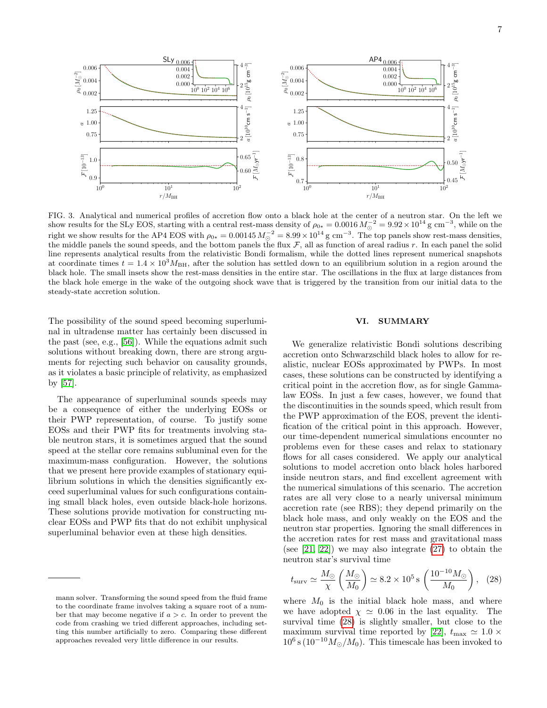

<span id="page-6-1"></span>FIG. 3. Analytical and numerical profiles of accretion flow onto a black hole at the center of a neutron star. On the left we show results for the SLy EOS, starting with a central rest-mass density of  $\rho_{0*} = 0.0016 M_{\odot}^{-2} = 9.92 \times 10^{14}$  g cm<sup>-3</sup>, while on the right we show results for the AP4 EOS with  $\rho_{0*} = 0.00145 M_{\odot}^{-2} = 8.99 \times 10^{14} \text{ g cm}^{-3}$ . The top panels show rest-mass densities, the middle panels the sound speeds, and the bottom panels the flux  $\mathcal{F}$ , all as function of areal radius r. In each panel the solid line represents analytical results from the relativistic Bondi formalism, while the dotted lines represent numerical snapshots at coordinate times  $t = 1.4 \times 10^3 M_{BH}$ , after the solution has settled down to an equilibrium solution in a region around the black hole. The small insets show the rest-mass densities in the entire star. The oscillations in the flux at large distances from the black hole emerge in the wake of the outgoing shock wave that is triggered by the transition from our initial data to the steady-state accretion solution.

The possibility of the sound speed becoming superluminal in ultradense matter has certainly been discussed in the past (see, e.g., [\[56\]](#page-9-4)). While the equations admit such solutions without breaking down, there are strong arguments for rejecting such behavior on causality grounds, as it violates a basic principle of relativity, as emphasized by [\[57\]](#page-9-5).

The appearance of superluminal sounds speeds may be a consequence of either the underlying EOSs or their PWP representation, of course. To justify some EOSs and their PWP fits for treatments involving stable neutron stars, it is sometimes argued that the sound speed at the stellar core remains subluminal even for the maximum-mass configuration. However, the solutions that we present here provide examples of stationary equilibrium solutions in which the densities significantly exceed superluminal values for such configurations containing small black holes, even outside black-hole horizons. These solutions provide motivation for constructing nuclear EOSs and PWP fits that do not exhibit unphysical superluminal behavior even at these high densities.

# <span id="page-6-0"></span>VI. SUMMARY

We generalize relativistic Bondi solutions describing accretion onto Schwarzschild black holes to allow for realistic, nuclear EOSs approximated by PWPs. In most cases, these solutions can be constructed by identifying a critical point in the accretion flow, as for single Gammalaw EOSs. In just a few cases, however, we found that the discontinuities in the sounds speed, which result from the PWP approximation of the EOS, prevent the identification of the critical point in this approach. However, our time-dependent numerical simulations encounter no problems even for these cases and relax to stationary flows for all cases considered. We apply our analytical solutions to model accretion onto black holes harbored inside neutron stars, and find excellent agreement with the numerical simulations of this scenario. The accretion rates are all very close to a nearly universal minimum accretion rate (see RBS); they depend primarily on the black hole mass, and only weakly on the EOS and the neutron star properties. Ignoring the small differences in the accretion rates for rest mass and gravitational mass (see  $[21, 22]$  $[21, 22]$ ) we may also integrate  $(27)$  to obtain the neutron star's survival time

<span id="page-6-2"></span>
$$
t_{\text{surv}} \simeq \frac{M_{\odot}}{\chi} \left(\frac{M_{\odot}}{M_0}\right) \simeq 8.2 \times 10^5 \,\text{s} \left(\frac{10^{-10} M_{\odot}}{M_0}\right), \tag{28}
$$

where  $M_0$  is the initial black hole mass, and where we have adopted  $\chi \simeq 0.06$  in the last equality. The survival time [\(28\)](#page-6-2) is slightly smaller, but close to the maximum survival time reported by [\[22\]](#page-7-15),  $t_{\text{max}} \simeq 1.0 \times$  $10^6$  s ( $10^{-10} M_{\odot}/M_0$ ). This timescale has been invoked to

mann solver. Transforming the sound speed from the fluid frame to the coordinate frame involves taking a square root of a number that may become negative if  $a > c$ . In order to prevent the code from crashing we tried different approaches, including setting this number artificially to zero. Comparing these different approaches revealed very little difference in our results.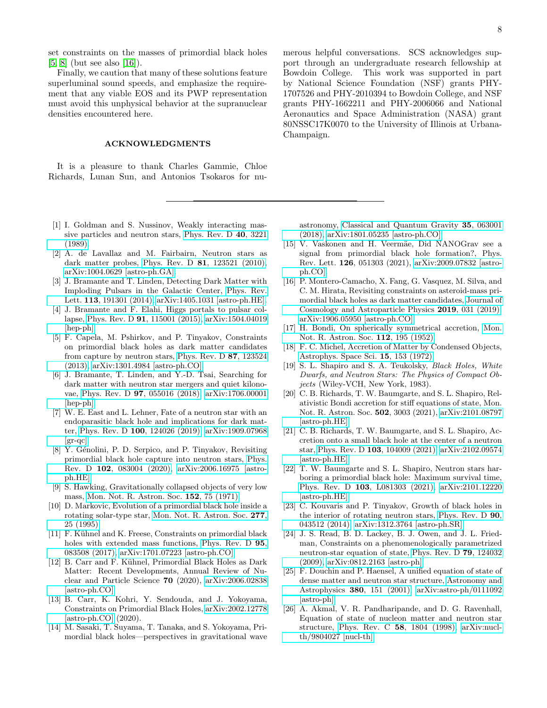set constraints on the masses of primordial black holes [\[5,](#page-7-4) [8\]](#page-7-1) (but see also [\[16\]](#page-7-7)).

Finally, we caution that many of these solutions feature superluminal sound speeds, and emphasize the requirement that any viable EOS and its PWP representation must avoid this unphysical behavior at the supranuclear densities encountered here.

# ACKNOWLEDGMENTS

It is a pleasure to thank Charles Gammie, Chloe Richards, Lunan Sun, and Antonios Tsokaros for nu-

- <span id="page-7-0"></span>[1] I. Goldman and S. Nussinov, Weakly interacting massive particles and neutron stars, [Phys. Rev. D](https://doi.org/10.1103/PhysRevD.40.3221) 40, 3221 [\(1989\).](https://doi.org/10.1103/PhysRevD.40.3221)
- [2] A. de Lavallaz and M. Fairbairn, Neutron stars as dark matter probes, Phys. Rev. D 81[, 123521 \(2010\),](https://doi.org/10.1103/PhysRevD.81.123521) [arXiv:1004.0629 \[astro-ph.GA\].](https://arxiv.org/abs/1004.0629)
- <span id="page-7-8"></span>[3] J. Bramante and T. Linden, Detecting Dark Matter with Imploding Pulsars in the Galactic Center, [Phys. Rev.](https://doi.org/10.1103/PhysRevLett.113.191301) Lett. 113[, 191301 \(2014\),](https://doi.org/10.1103/PhysRevLett.113.191301) [arXiv:1405.1031 \[astro-ph.HE\].](https://arxiv.org/abs/1405.1031)
- [4] J. Bramante and F. Elahi, Higgs portals to pulsar collapse, Phys. Rev. D 91[, 115001 \(2015\),](https://doi.org/10.1103/PhysRevD.91.115001) [arXiv:1504.04019](https://arxiv.org/abs/1504.04019) [\[hep-ph\].](https://arxiv.org/abs/1504.04019)
- <span id="page-7-4"></span>[5] F. Capela, M. Pshirkov, and P. Tinyakov, Constraints on primordial black holes as dark matter candidates from capture by neutron stars, [Phys. Rev. D](https://doi.org/10.1103/PhysRevD.87.123524) 87, 123524 [\(2013\),](https://doi.org/10.1103/PhysRevD.87.123524) [arXiv:1301.4984 \[astro-ph.CO\].](https://arxiv.org/abs/1301.4984)
- <span id="page-7-9"></span>[6] J. Bramante, T. Linden, and Y.-D. Tsai, Searching for dark matter with neutron star mergers and quiet kilonovae, Phys. Rev. D 97[, 055016 \(2018\),](https://doi.org/10.1103/PhysRevD.97.055016) [arXiv:1706.00001](https://arxiv.org/abs/1706.00001) [\[hep-ph\].](https://arxiv.org/abs/1706.00001)
- <span id="page-7-16"></span>[7] W. E. East and L. Lehner, Fate of a neutron star with an endoparasitic black hole and implications for dark matter, Phys. Rev. D 100[, 124026 \(2019\),](https://doi.org/10.1103/PhysRevD.100.124026) [arXiv:1909.07968](https://arxiv.org/abs/1909.07968)  $\left[\text{gr-qc}\right]$ .
- <span id="page-7-1"></span>[8] Y. Génolini, P. D. Serpico, and P. Tinyakov, Revisiting primordial black hole capture into neutron stars, [Phys.](https://doi.org/10.1103/PhysRevD.102.083004) Rev. D 102[, 083004 \(2020\),](https://doi.org/10.1103/PhysRevD.102.083004) [arXiv:2006.16975 \[astro](https://arxiv.org/abs/2006.16975)[ph.HE\].](https://arxiv.org/abs/2006.16975)
- <span id="page-7-2"></span>[9] S. Hawking, Gravitationally collapsed objects of very low mass, [Mon. Not. R. Astron. Soc.](https://doi.org/10.1093/mnras/152.1.75) 152, 75 (1971).
- <span id="page-7-3"></span>[10] D. Markovic, Evolution of a primordial black hole inside a rotating solar-type star, [Mon. Not. R. Astron. Soc.](https://doi.org/10.1093/mnras/277.1.25) 277, [25 \(1995\).](https://doi.org/10.1093/mnras/277.1.25)
- <span id="page-7-5"></span>[11] F. Kühnel and K. Freese, Constraints on primordial black holes with extended mass functions, [Phys. Rev. D](https://doi.org/10.1103/PhysRevD.95.083508) **95**. [083508 \(2017\),](https://doi.org/10.1103/PhysRevD.95.083508) [arXiv:1701.07223 \[astro-ph.CO\].](https://arxiv.org/abs/1701.07223)
- [12] B. Carr and F. Kühnel, Primordial Black Holes as Dark Matter: Recent Developments, Annual Review of Nuclear and Particle Science 70 (2020), [arXiv:2006.02838](https://arxiv.org/abs/2006.02838) [\[astro-ph.CO\].](https://arxiv.org/abs/2006.02838)
- [13] B. Carr, K. Kohri, Y. Sendouda, and J. Yokoyama, Constraints on Primordial Black Holes, [arXiv:2002.12778](https://arxiv.org/abs/arXiv:2002.12778) [\[astro-ph.CO\]](https://arxiv.org/abs/arXiv:2002.12778) (2020).
- [14] M. Sasaki, T. Suyama, T. Tanaka, and S. Yokoyama, Primordial black holes—perspectives in gravitational wave

merous helpful conversations. SCS acknowledges support through an undergraduate research fellowship at Bowdoin College. This work was supported in part by National Science Foundation (NSF) grants PHY-1707526 and PHY-2010394 to Bowdoin College, and NSF grants PHY-1662211 and PHY-2006066 and National Aeronautics and Space Administration (NASA) grant 80NSSC17K0070 to the University of Illinois at Urbana-Champaign.

astronomy, [Classical and Quantum Gravity](https://doi.org/10.1088/1361-6382/aaa7b4) 35, 063001 [\(2018\),](https://doi.org/10.1088/1361-6382/aaa7b4) [arXiv:1801.05235 \[astro-ph.CO\].](https://arxiv.org/abs/1801.05235)

- <span id="page-7-6"></span>[15] V. Vaskonen and H. Veermäe, Did NANOGrav see a signal from primordial black hole formation?, Phys. Rev. Lett. 126, 051303 (2021), [arXiv:2009.07832 \[astro](https://arxiv.org/abs/arXiv:2009.07832)[ph.CO\].](https://arxiv.org/abs/arXiv:2009.07832)
- <span id="page-7-7"></span>[16] P. Montero-Camacho, X. Fang, G. Vasquez, M. Silva, and C. M. Hirata, Revisiting constraints on asteroid-mass primordial black holes as dark matter candidates, [Journal of](https://doi.org/10.1088/1475-7516/2019/08/031) [Cosmology and Astroparticle Physics](https://doi.org/10.1088/1475-7516/2019/08/031) 2019, 031 (2019), [arXiv:1906.05950 \[astro-ph.CO\].](https://arxiv.org/abs/1906.05950)
- <span id="page-7-10"></span>[17] H. Bondi, On spherically symmetrical accretion, [Mon.](https://doi.org/10.1093/mnras/112.2.195) [Not. R. Astron. Soc.](https://doi.org/10.1093/mnras/112.2.195) 112, 195 (1952).
- <span id="page-7-11"></span>[18] F. C. Michel, Accretion of Matter by Condensed Objects, [Astrophys. Space Sci.](https://doi.org/10.1007/BF00649949) 15, 153 (1972).
- <span id="page-7-12"></span>[19] S. L. Shapiro and S. A. Teukolsky, Black Holes, White Dwarfs, and Neutron Stars: The Physics of Compact Objects (Wiley-VCH, New York, 1983).
- <span id="page-7-13"></span>[20] C. B. Richards, T. W. Baumgarte, and S. L. Shapiro, Relativistic Bondi accretion for stiff equations of state, Mon. Not. R. Astron. Soc. 502, 3003 (2021), [arXiv:2101.08797](https://arxiv.org/abs/2101.08797) [\[astro-ph.HE\].](https://arxiv.org/abs/2101.08797)
- <span id="page-7-14"></span>[21] C. B. Richards, T. W. Baumgarte, and S. L. Shapiro, Accretion onto a small black hole at the center of a neutron star, Phys. Rev. D 103[, 104009 \(2021\),](https://doi.org/10.1103/PhysRevD.103.104009) [arXiv:2102.09574](https://arxiv.org/abs/2102.09574) [\[astro-ph.HE\].](https://arxiv.org/abs/2102.09574)
- <span id="page-7-15"></span>[22] T. W. Baumgarte and S. L. Shapiro, Neutron stars harboring a primordial black hole: Maximum survival time, Phys. Rev. D 103[, L081303 \(2021\),](https://doi.org/10.1103/PhysRevD.103.L081303) [arXiv:2101.12220](https://arxiv.org/abs/2101.12220) [\[astro-ph.HE\].](https://arxiv.org/abs/2101.12220)
- <span id="page-7-17"></span>[23] C. Kouvaris and P. Tinyakov, Growth of black holes in the interior of rotating neutron stars, [Phys. Rev. D](https://doi.org/10.1103/PhysRevD.90.043512) 90, [043512 \(2014\),](https://doi.org/10.1103/PhysRevD.90.043512) [arXiv:1312.3764 \[astro-ph.SR\].](https://arxiv.org/abs/1312.3764)
- <span id="page-7-18"></span>[24] J. S. Read, B. D. Lackey, B. J. Owen, and J. L. Friedman, Constraints on a phenomenologically parametrized neutron-star equation of state, [Phys. Rev. D](https://doi.org/10.1103/PhysRevD.79.124032) 79, 124032 [\(2009\),](https://doi.org/10.1103/PhysRevD.79.124032) [arXiv:0812.2163 \[astro-ph\].](https://arxiv.org/abs/0812.2163)
- <span id="page-7-19"></span>[25] F. Douchin and P. Haensel, A unified equation of state of dense matter and neutron star structure, [Astronomy and](https://doi.org/10.1051/0004-6361:20011402) Astrophysics 380[, 151 \(2001\),](https://doi.org/10.1051/0004-6361:20011402) [arXiv:astro-ph/0111092](https://arxiv.org/abs/astro-ph/0111092) [\[astro-ph\].](https://arxiv.org/abs/astro-ph/0111092)
- <span id="page-7-20"></span>[26] A. Akmal, V. R. Pandharipande, and D. G. Ravenhall, Equation of state of nucleon matter and neutron star structure, [Phys. Rev. C](https://doi.org/10.1103/PhysRevC.58.1804) 58, 1804 (1998), [arXiv:nucl](https://arxiv.org/abs/nucl-th/9804027)[th/9804027 \[nucl-th\].](https://arxiv.org/abs/nucl-th/9804027)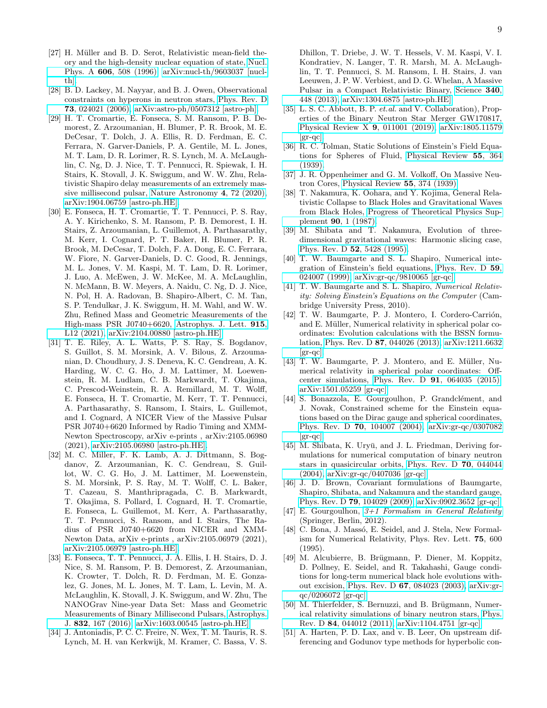- <span id="page-8-0"></span>[27] H. Müller and B. D. Serot, Relativistic mean-field theory and the high-density nuclear equation of state, [Nucl.](https://doi.org/10.1016/0375-9474(96)00187-X) Phys. A 606[, 508 \(1996\),](https://doi.org/10.1016/0375-9474(96)00187-X) [arXiv:nucl-th/9603037 \[nucl](https://arxiv.org/abs/nucl-th/9603037)[th\].](https://arxiv.org/abs/nucl-th/9603037)
- <span id="page-8-1"></span>[28] B. D. Lackey, M. Nayyar, and B. J. Owen, Observational constraints on hyperons in neutron stars, [Phys. Rev. D](https://doi.org/10.1103/PhysRevD.73.024021) 73[, 024021 \(2006\),](https://doi.org/10.1103/PhysRevD.73.024021) [arXiv:astro-ph/0507312 \[astro-ph\].](https://arxiv.org/abs/astro-ph/0507312)
- <span id="page-8-2"></span>[29] H. T. Cromartie, E. Fonseca, S. M. Ransom, P. B. Demorest, Z. Arzoumanian, H. Blumer, P. R. Brook, M. E. DeCesar, T. Dolch, J. A. Ellis, R. D. Ferdman, E. C. Ferrara, N. Garver-Daniels, P. A. Gentile, M. L. Jones, M. T. Lam, D. R. Lorimer, R. S. Lynch, M. A. McLaughlin, C. Ng, D. J. Nice, T. T. Pennucci, R. Spiewak, I. H. Stairs, K. Stovall, J. K. Swiggum, and W. W. Zhu, Relativistic Shapiro delay measurements of an extremely massive millisecond pulsar, [Nature Astronomy](https://doi.org/10.1038/s41550-019-0880-2) 4, 72 (2020), [arXiv:1904.06759 \[astro-ph.HE\].](https://arxiv.org/abs/1904.06759)
- <span id="page-8-3"></span>[30] E. Fonseca, H. T. Cromartie, T. T. Pennucci, P. S. Ray, A. Y. Kirichenko, S. M. Ransom, P. B. Demorest, I. H. Stairs, Z. Arzoumanian, L. Guillemot, A. Parthasarathy, M. Kerr, I. Cognard, P. T. Baker, H. Blumer, P. R. Brook, M. DeCesar, T. Dolch, F. A. Dong, E. C. Ferrara, W. Fiore, N. Garver-Daniels, D. C. Good, R. Jennings, M. L. Jones, V. M. Kaspi, M. T. Lam, D. R. Lorimer, J. Luo, A. McEwen, J. W. McKee, M. A. McLaughlin, N. McMann, B. W. Meyers, A. Naidu, C. Ng, D. J. Nice, N. Pol, H. A. Radovan, B. Shapiro-Albert, C. M. Tan, S. P. Tendulkar, J. K. Swiggum, H. M. Wahl, and W. W. Zhu, Refined Mass and Geometric Measurements of the High-mass PSR J0740+6620, [Astrophys. J. Lett.](https://doi.org/10.3847/2041-8213/ac03b8) 915, [L12 \(2021\),](https://doi.org/10.3847/2041-8213/ac03b8) [arXiv:2104.00880 \[astro-ph.HE\].](https://arxiv.org/abs/2104.00880)
- <span id="page-8-4"></span>[31] T. E. Riley, A. L. Watts, P. S. Ray, S. Bogdanov, S. Guillot, S. M. Morsink, A. V. Bilous, Z. Arzoumanian, D. Choudhury, J. S. Deneva, K. C. Gendreau, A. K. Harding, W. C. G. Ho, J. M. Lattimer, M. Loewenstein, R. M. Ludlam, C. B. Markwardt, T. Okajima, C. Prescod-Weinstein, R. A. Remillard, M. T. Wolff, E. Fonseca, H. T. Cromartie, M. Kerr, T. T. Pennucci, A. Parthasarathy, S. Ransom, I. Stairs, L. Guillemot, and I. Cognard, A NICER View of the Massive Pulsar PSR J0740+6620 Informed by Radio Timing and XMM-Newton Spectroscopy, arXiv e-prints , arXiv:2105.06980 (2021), [arXiv:2105.06980 \[astro-ph.HE\].](https://arxiv.org/abs/2105.06980)
- <span id="page-8-5"></span>[32] M. C. Miller, F. K. Lamb, A. J. Dittmann, S. Bogdanov, Z. Arzoumanian, K. C. Gendreau, S. Guillot, W. C. G. Ho, J. M. Lattimer, M. Loewenstein, S. M. Morsink, P. S. Ray, M. T. Wolff, C. L. Baker, T. Cazeau, S. Manthripragada, C. B. Markwardt, T. Okajima, S. Pollard, I. Cognard, H. T. Cromartie, E. Fonseca, L. Guillemot, M. Kerr, A. Parthasarathy, T. T. Pennucci, S. Ransom, and I. Stairs, The Radius of PSR J0740+6620 from NICER and XMM-Newton Data, arXiv e-prints , arXiv:2105.06979 (2021), [arXiv:2105.06979 \[astro-ph.HE\].](https://arxiv.org/abs/2105.06979)
- <span id="page-8-6"></span>[33] E. Fonseca, T. T. Pennucci, J. A. Ellis, I. H. Stairs, D. J. Nice, S. M. Ransom, P. B. Demorest, Z. Arzoumanian, K. Crowter, T. Dolch, R. D. Ferdman, M. E. Gonzalez, G. Jones, M. L. Jones, M. T. Lam, L. Levin, M. A. McLaughlin, K. Stovall, J. K. Swiggum, and W. Zhu, The NANOGrav Nine-year Data Set: Mass and Geometric Measurements of Binary Millisecond Pulsars, [Astrophys.](https://doi.org/10.3847/0004-637X/832/2/167) J. 832[, 167 \(2016\),](https://doi.org/10.3847/0004-637X/832/2/167) [arXiv:1603.00545 \[astro-ph.HE\].](https://arxiv.org/abs/1603.00545)
- <span id="page-8-7"></span>[34] J. Antoniadis, P. C. C. Freire, N. Wex, T. M. Tauris, R. S. Lynch, M. H. van Kerkwijk, M. Kramer, C. Bassa, V. S.

Dhillon, T. Driebe, J. W. T. Hessels, V. M. Kaspi, V. I. Kondratiev, N. Langer, T. R. Marsh, M. A. McLaughlin, T. T. Pennucci, S. M. Ransom, I. H. Stairs, J. van Leeuwen, J. P. W. Verbiest, and D. G. Whelan, A Massive Pulsar in a Compact Relativistic Binary, [Science](https://doi.org/10.1126/science.1233232) 340, [448 \(2013\),](https://doi.org/10.1126/science.1233232) [arXiv:1304.6875 \[astro-ph.HE\].](https://arxiv.org/abs/1304.6875)

- <span id="page-8-8"></span>[35] L. S. C. Abbott, B. P. et.al. and V. Collaboration), Properties of the Binary Neutron Star Merger GW170817, [Physical Review X](https://doi.org/10.1103/PhysRevX.9.011001) 9, 011001 (2019), [arXiv:1805.11579](https://arxiv.org/abs/1805.11579)  $\left[\text{gr-qc}\right]$ .
- <span id="page-8-9"></span>[36] R. C. Tolman, Static Solutions of Einstein's Field Equations for Spheres of Fluid, [Physical Review](https://doi.org/10.1103/PhysRev.55.364) 55, 364 [\(1939\).](https://doi.org/10.1103/PhysRev.55.364)
- <span id="page-8-10"></span>[37] J. R. Oppenheimer and G. M. Volkoff, On Massive Neutron Cores, [Physical Review](https://doi.org/10.1103/PhysRev.55.374) 55, 374 (1939).
- <span id="page-8-11"></span>[38] T. Nakamura, K. Oohara, and Y. Kojima, General Relativistic Collapse to Black Holes and Gravitational Waves from Black Holes, [Progress of Theoretical Physics Sup](https://doi.org/10.1143/PTPS.90.1)plement 90[, 1 \(1987\).](https://doi.org/10.1143/PTPS.90.1)
- [39] M. Shibata and T. Nakamura, Evolution of threedimensional gravitational waves: Harmonic slicing case, [Phys. Rev. D](https://doi.org/10.1103/PhysRevD.52.5428) 52, 5428 (1995).
- <span id="page-8-12"></span>[40] T. W. Baumgarte and S. L. Shapiro, Numerical integration of Einstein's field equations, [Phys. Rev. D](https://doi.org/10.1103/PhysRevD.59.024007) 59, [024007 \(1999\),](https://doi.org/10.1103/PhysRevD.59.024007) [arXiv:gr-qc/9810065 \[gr-qc\].](https://arxiv.org/abs/gr-qc/9810065)
- <span id="page-8-13"></span>[41] T. W. Baumgarte and S. L. Shapiro, Numerical Relativity: Solving Einstein's Equations on the Computer (Cambridge University Press, 2010).
- <span id="page-8-14"></span>[42] T. W. Baumgarte, P. J. Montero, I. Cordero-Carrión, and E. Müller, Numerical relativity in spherical polar coordinates: Evolution calculations with the BSSN formulation, Phys. Rev. D 87[, 044026 \(2013\),](https://doi.org/10.1103/PhysRevD.87.044026) [arXiv:1211.6632](https://arxiv.org/abs/1211.6632)  $\left[\text{gr-qc}\right]$ .
- <span id="page-8-15"></span>[43] T. W. Baumgarte, P. J. Montero, and E. Müller, Numerical relativity in spherical polar coordinates: Offcenter simulations, Phys. Rev. D 91[, 064035 \(2015\),](https://doi.org/10.1103/PhysRevD.91.064035) [arXiv:1501.05259 \[gr-qc\].](https://arxiv.org/abs/1501.05259)
- <span id="page-8-16"></span>[44] S. Bonazzola, E. Gourgoulhon, P. Grandclément, and J. Novak, Constrained scheme for the Einstein equations based on the Dirac gauge and spherical coordinates, Phys. Rev. D 70[, 104007 \(2004\),](https://doi.org/10.1103/PhysRevD.70.104007) [arXiv:gr-qc/0307082](https://arxiv.org/abs/gr-qc/0307082) [\[gr-qc\].](https://arxiv.org/abs/gr-qc/0307082)
- [45] M. Shibata, K. Uryū, and J. L. Friedman, Deriving formulations for numerical computation of binary neutron stars in quasicircular orbits, [Phys. Rev. D](https://doi.org/10.1103/PhysRevD.70.044044) 70, 044044 [\(2004\),](https://doi.org/10.1103/PhysRevD.70.044044) [arXiv:gr-qc/0407036 \[gr-qc\].](https://arxiv.org/abs/gr-qc/0407036)
- [46] J. D. Brown, Covariant formulations of Baumgarte, Shapiro, Shibata, and Nakamura and the standard gauge, Phys. Rev. D 79[, 104029 \(2009\),](https://doi.org/10.1103/PhysRevD.79.104029) [arXiv:0902.3652 \[gr-qc\].](https://arxiv.org/abs/0902.3652)
- <span id="page-8-17"></span>[47] E. Gourgoulhon, [3+1 Formalism in General Relativity](https://doi.org/10.1007/978-3-642-24525-1) (Springer, Berlin, 2012).
- <span id="page-8-18"></span>[48] C. Bona, J. Massó, E. Seidel, and J. Stela, New Formalism for Numerical Relativity, Phys. Rev. Lett. 75, 600 (1995).
- <span id="page-8-19"></span>[49] M. Alcubierre, B. Brügmann, P. Diener, M. Koppitz, D. Pollney, E. Seidel, and R. Takahashi, Gauge conditions for long-term numerical black hole evolutions without excision, Phys. Rev. D 67[, 084023 \(2003\),](https://doi.org/10.1103/PhysRevD.67.084023) [arXiv:gr](https://arxiv.org/abs/gr-qc/0206072)[qc/0206072 \[gr-qc\].](https://arxiv.org/abs/gr-qc/0206072)
- <span id="page-8-20"></span>[50] M. Thierfelder, S. Bernuzzi, and B. Brügmann, Numerical relativity simulations of binary neutron stars, [Phys.](https://doi.org/10.1103/PhysRevD.84.044012) Rev. D 84[, 044012 \(2011\),](https://doi.org/10.1103/PhysRevD.84.044012) [arXiv:1104.4751 \[gr-qc\].](https://arxiv.org/abs/1104.4751)
- <span id="page-8-21"></span>[51] A. Harten, P. D. Lax, and v. B. Leer, On upstream differencing and Godunov type methods for hyperbolic con-